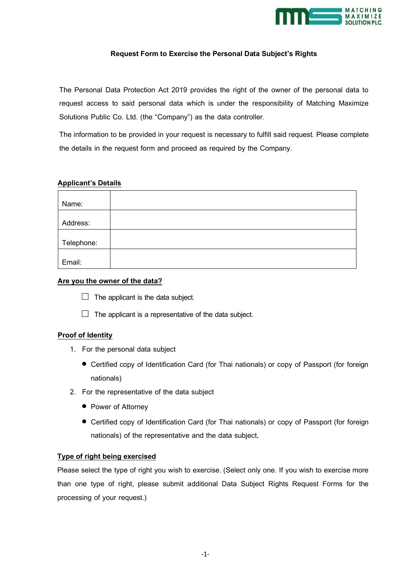

# **Request Form to Exercise the Personal Data Subject's Rights**

The Personal Data Protection Act 2019 provides the right of the owner of the personal data to request access to said personal data which is under the responsibility of Matching Maximize Solutions Public Co. Ltd. (the "Company") as the data controller.

The information to be provided in your request is necessary to fulfill said request. Please complete the details in the request form and proceed as required by the Company.

## **Applicant's Details**

| Name:      |  |
|------------|--|
| Address:   |  |
| Telephone: |  |
| Email:     |  |

## **Are you the owner of the data?**

- $\Box$  The applicant is the data subject.
- $\Box$  The applicant is a representative of the data subject.

### **Proof of Identity**

- 1. For the personal data subject
	- Certified copy of Identification Card (for Thai nationals) or copy of Passport (for foreign nationals)
- 2. For the representative of the data subject
	- Power of Attorney
	- Certified copy of Identification Card (for Thai nationals) or copy of Passport (for foreign nationals) of the representative and the data subject,

## **Type of right being exercised**

Please select the type of right you wish to exercise. (Select only one. If you wish to exercise more than one type of right, please submit additional Data Subject Rights Request Forms for the processing of your request.)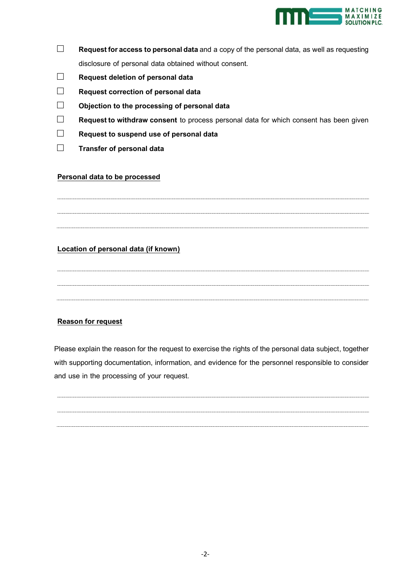

- □ **Request foraccess to personal data** and a copy of the personal data, as well as requesting disclosure of personal data obtained without consent.
- □ **Request deletion of personal data**
- □ **Request correction of personal data**
- □ **Objection to the processing of personal data**
- □ **Request to withdraw consent** to process personal data for which consent has been given
- □ **Request to suspend use of personal data**
- □ **Transfer of personal data**

### **Personal data to be processed**

# **Location of personal data (if known)**

## **Reason for request**

Please explain the reason for the request to exercise the rights of the personal data subject, together with supporting documentation, information, and evidence for the personnel responsible to consider and use in the processing of your request.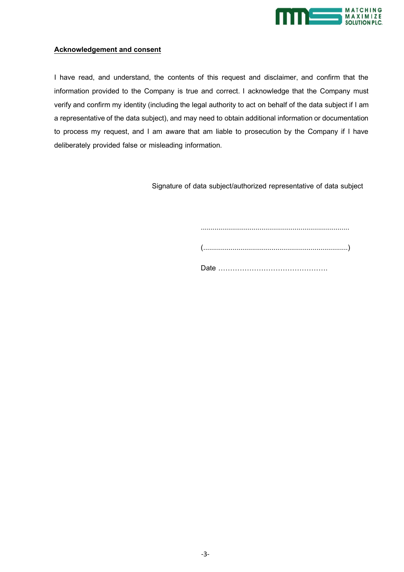

# **Acknowledgement and consent**

I have read, and understand, the contents of this request and disclaimer, and confirm that the information provided to the Company is true and correct. I acknowledge that the Company must verify and confirm my identity (including the legal authority to act on behalf of the data subject if I am a representative of the data subject), and may need to obtain additional information or documentation to process my request, and I am aware that am liable to prosecution by the Company if I have deliberately provided false or misleading information.

Signature of data subject/authorized representative of data subject

 ............................................................................ (..........................................................................) Date ……………………………………….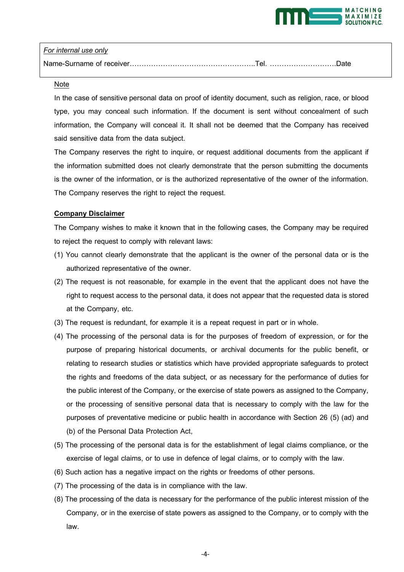

## *For internal use only*

| Name-Surname of receiver…………………………………………………Tel. …………………………Date |  |
|----------------------------------------------------------------|--|
|----------------------------------------------------------------|--|

#### Note

In the case of sensitive personal data on proof of identity document, such as religion, race, or blood type, you may conceal such information. If the document is sent without concealment of such information, the Company will conceal it. It shall not be deemed that the Company has received said sensitive data from the data subject.

The Company reserves the right to inquire, or request additional documents from the applicant if the information submitted does not clearly demonstrate that the person submitting the documents is the owner of the information, or is the authorized representative of the owner of the information. The Company reserves the right to reject the request.

### **Company Disclaimer**

The Company wishes to make it known that in the following cases, the Company may be required to reject the request to comply with relevant laws:

- (1) You cannot clearly demonstrate that the applicant is the owner of the personal data or is the authorized representative of the owner.
- (2) The request is not reasonable, for example in the event that the applicant does not have the right to request access to the personal data, it does not appear that the requested data is stored at the Company, etc.
- (3) The request is redundant, for example it is a repeat request in part or in whole.
- (4) The processing of the personal data is for the purposes of freedom of expression, or for the purpose of preparing historical documents, or archival documents for the public benefit, or relating to research studies or statistics which have provided appropriate safeguards to protect the rights and freedoms of the data subject, or as necessary for the performance of duties for the public interest of the Company, or the exercise of state powers as assigned to the Company, or the processing of sensitive personal data that is necessary to comply with the law for the purposes of preventative medicine or public health in accordance with Section 26 (5) (ad) and (b) of the Personal Data Protection Act,
- (5) The processing of the personal data is for the establishment of legal claims compliance, or the exercise of legal claims, or to use in defence of legal claims, or to comply with the law.
- (6) Such action has a negative impact on the rights or freedoms of other persons.
- (7) The processing of the data is in compliance with the law.
- (8) The processing of the data is necessary for the performance of the public interest mission of the Company, or in the exercise of state powers as assigned to the Company, or to comply with the law.